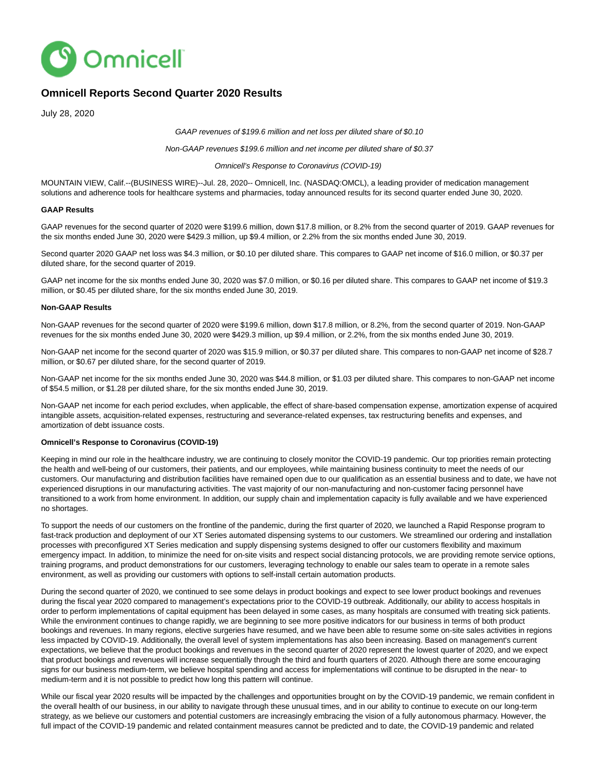

# **Omnicell Reports Second Quarter 2020 Results**

July 28, 2020

GAAP revenues of \$199.6 million and net loss per diluted share of \$0.10

Non-GAAP revenues \$199.6 million and net income per diluted share of \$0.37

Omnicell's Response to Coronavirus (COVID-19)

MOUNTAIN VIEW, Calif.--(BUSINESS WIRE)--Jul. 28, 2020-- Omnicell, Inc. (NASDAQ:OMCL), a leading provider of medication management solutions and adherence tools for healthcare systems and pharmacies, today announced results for its second quarter ended June 30, 2020.

## **GAAP Results**

GAAP revenues for the second quarter of 2020 were \$199.6 million, down \$17.8 million, or 8.2% from the second quarter of 2019. GAAP revenues for the six months ended June 30, 2020 were \$429.3 million, up \$9.4 million, or 2.2% from the six months ended June 30, 2019.

Second quarter 2020 GAAP net loss was \$4.3 million, or \$0.10 per diluted share. This compares to GAAP net income of \$16.0 million, or \$0.37 per diluted share, for the second quarter of 2019.

GAAP net income for the six months ended June 30, 2020 was \$7.0 million, or \$0.16 per diluted share. This compares to GAAP net income of \$19.3 million, or \$0.45 per diluted share, for the six months ended June 30, 2019.

### **Non-GAAP Results**

Non-GAAP revenues for the second quarter of 2020 were \$199.6 million, down \$17.8 million, or 8.2%, from the second quarter of 2019. Non-GAAP revenues for the six months ended June 30, 2020 were \$429.3 million, up \$9.4 million, or 2.2%, from the six months ended June 30, 2019.

Non-GAAP net income for the second quarter of 2020 was \$15.9 million, or \$0.37 per diluted share. This compares to non-GAAP net income of \$28.7 million, or \$0.67 per diluted share, for the second quarter of 2019.

Non-GAAP net income for the six months ended June 30, 2020 was \$44.8 million, or \$1.03 per diluted share. This compares to non-GAAP net income of \$54.5 million, or \$1.28 per diluted share, for the six months ended June 30, 2019.

Non-GAAP net income for each period excludes, when applicable, the effect of share-based compensation expense, amortization expense of acquired intangible assets, acquisition-related expenses, restructuring and severance-related expenses, tax restructuring benefits and expenses, and amortization of debt issuance costs.

# **Omnicell's Response to Coronavirus (COVID-19)**

Keeping in mind our role in the healthcare industry, we are continuing to closely monitor the COVID-19 pandemic. Our top priorities remain protecting the health and well-being of our customers, their patients, and our employees, while maintaining business continuity to meet the needs of our customers. Our manufacturing and distribution facilities have remained open due to our qualification as an essential business and to date, we have not experienced disruptions in our manufacturing activities. The vast majority of our non-manufacturing and non-customer facing personnel have transitioned to a work from home environment. In addition, our supply chain and implementation capacity is fully available and we have experienced no shortages.

To support the needs of our customers on the frontline of the pandemic, during the first quarter of 2020, we launched a Rapid Response program to fast-track production and deployment of our XT Series automated dispensing systems to our customers. We streamlined our ordering and installation processes with preconfigured XT Series medication and supply dispensing systems designed to offer our customers flexibility and maximum emergency impact. In addition, to minimize the need for on-site visits and respect social distancing protocols, we are providing remote service options, training programs, and product demonstrations for our customers, leveraging technology to enable our sales team to operate in a remote sales environment, as well as providing our customers with options to self-install certain automation products.

During the second quarter of 2020, we continued to see some delays in product bookings and expect to see lower product bookings and revenues during the fiscal year 2020 compared to management's expectations prior to the COVID-19 outbreak. Additionally, our ability to access hospitals in order to perform implementations of capital equipment has been delayed in some cases, as many hospitals are consumed with treating sick patients. While the environment continues to change rapidly, we are beginning to see more positive indicators for our business in terms of both product bookings and revenues. In many regions, elective surgeries have resumed, and we have been able to resume some on-site sales activities in regions less impacted by COVID-19. Additionally, the overall level of system implementations has also been increasing. Based on management's current expectations, we believe that the product bookings and revenues in the second quarter of 2020 represent the lowest quarter of 2020, and we expect that product bookings and revenues will increase sequentially through the third and fourth quarters of 2020. Although there are some encouraging signs for our business medium-term, we believe hospital spending and access for implementations will continue to be disrupted in the near- to medium-term and it is not possible to predict how long this pattern will continue.

While our fiscal year 2020 results will be impacted by the challenges and opportunities brought on by the COVID-19 pandemic, we remain confident in the overall health of our business, in our ability to navigate through these unusual times, and in our ability to continue to execute on our long-term strategy, as we believe our customers and potential customers are increasingly embracing the vision of a fully autonomous pharmacy. However, the full impact of the COVID-19 pandemic and related containment measures cannot be predicted and to date, the COVID-19 pandemic and related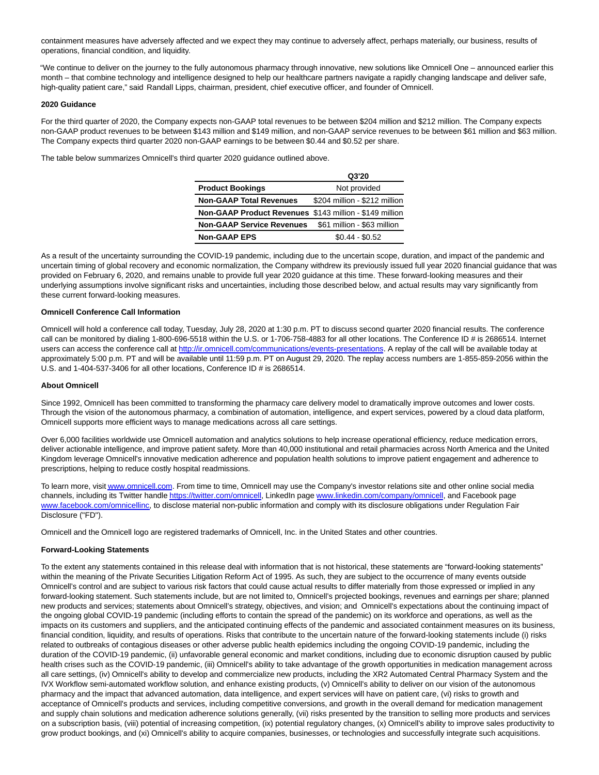containment measures have adversely affected and we expect they may continue to adversely affect, perhaps materially, our business, results of operations, financial condition, and liquidity.

"We continue to deliver on the journey to the fully autonomous pharmacy through innovative, new solutions like Omnicell One – announced earlier this month – that combine technology and intelligence designed to help our healthcare partners navigate a rapidly changing landscape and deliver safe, high-quality patient care," said Randall Lipps, chairman, president, chief executive officer, and founder of Omnicell.

#### **2020 Guidance**

For the third quarter of 2020, the Company expects non-GAAP total revenues to be between \$204 million and \$212 million. The Company expects non-GAAP product revenues to be between \$143 million and \$149 million, and non-GAAP service revenues to be between \$61 million and \$63 million. The Company expects third quarter 2020 non-GAAP earnings to be between \$0.44 and \$0.52 per share.

The table below summarizes Omnicell's third quarter 2020 guidance outlined above.

|                                                                | Q3'20                         |
|----------------------------------------------------------------|-------------------------------|
| <b>Product Bookings</b>                                        | Not provided                  |
| <b>Non-GAAP Total Revenues</b>                                 | \$204 million - \$212 million |
| <b>Non-GAAP Product Revenues</b> \$143 million - \$149 million |                               |
| <b>Non-GAAP Service Revenues</b>                               | \$61 million - \$63 million   |
| <b>Non-GAAP EPS</b>                                            | $$0.44 - $0.52$               |

As a result of the uncertainty surrounding the COVID-19 pandemic, including due to the uncertain scope, duration, and impact of the pandemic and uncertain timing of global recovery and economic normalization, the Company withdrew its previously issued full year 2020 financial guidance that was provided on February 6, 2020, and remains unable to provide full year 2020 guidance at this time. These forward-looking measures and their underlying assumptions involve significant risks and uncertainties, including those described below, and actual results may vary significantly from these current forward-looking measures.

#### **Omnicell Conference Call Information**

Omnicell will hold a conference call today, Tuesday, July 28, 2020 at 1:30 p.m. PT to discuss second quarter 2020 financial results. The conference call can be monitored by dialing 1-800-696-5518 within the U.S. or 1-706-758-4883 for all other locations. The Conference ID # is 2686514. Internet users can access the conference call at [http://ir.omnicell.com/communications/events-presentations.](https://cts.businesswire.com/ct/CT?id=smartlink&url=http%3A%2F%2Fir.omnicell.com%2Fcommunications%2Fevents-presentations&esheet=52257141&newsitemid=20200728005951&lan=en-US&anchor=http%3A%2F%2Fir.omnicell.com%2Fcommunications%2Fevents-presentations&index=1&md5=42810d9e592d7ab9a91afeee972bbf9f) A replay of the call will be available today at approximately 5:00 p.m. PT and will be available until 11:59 p.m. PT on August 29, 2020. The replay access numbers are 1-855-859-2056 within the U.S. and 1-404-537-3406 for all other locations, Conference ID # is 2686514.

#### **About Omnicell**

Since 1992, Omnicell has been committed to transforming the pharmacy care delivery model to dramatically improve outcomes and lower costs. Through the vision of the autonomous pharmacy, a combination of automation, intelligence, and expert services, powered by a cloud data platform, Omnicell supports more efficient ways to manage medications across all care settings.

Over 6,000 facilities worldwide use Omnicell automation and analytics solutions to help increase operational efficiency, reduce medication errors, deliver actionable intelligence, and improve patient safety. More than 40,000 institutional and retail pharmacies across North America and the United Kingdom leverage Omnicell's innovative medication adherence and population health solutions to improve patient engagement and adherence to prescriptions, helping to reduce costly hospital readmissions.

To learn more, visi[t www.omnicell.com.](https://cts.businesswire.com/ct/CT?id=smartlink&url=http%3A%2F%2Fwww.omnicell.com&esheet=52257141&newsitemid=20200728005951&lan=en-US&anchor=www.omnicell.com&index=2&md5=de6d4e371703af1ac60aeea2b0dd7f4d) From time to time, Omnicell may use the Company's investor relations site and other online social media channels, including its Twitter handl[e https://twitter.com/omnicell,](https://cts.businesswire.com/ct/CT?id=smartlink&url=https%3A%2F%2Ftwitter.com%2Fomnicell&esheet=52257141&newsitemid=20200728005951&lan=en-US&anchor=https%3A%2F%2Ftwitter.com%2Fomnicell&index=3&md5=867f1dd9ca86e37e55ce1ad9b722296a) LinkedIn page [www.linkedin.com/company/omnicell,](https://cts.businesswire.com/ct/CT?id=smartlink&url=https%3A%2F%2Fwww.linkedin.com%2Fcompany%2F165303%2Fadmin%2F&esheet=52257141&newsitemid=20200728005951&lan=en-US&anchor=www.linkedin.com%2Fcompany%2Fomnicell&index=4&md5=57f5efb09aa240c4cc32d6a9fa457271) and Facebook page [www.facebook.com/omnicellinc,](https://cts.businesswire.com/ct/CT?id=smartlink&url=https%3A%2F%2Fwww.facebook.com%2Fomnicellinc&esheet=52257141&newsitemid=20200728005951&lan=en-US&anchor=www.facebook.com%2Fomnicellinc&index=5&md5=cb1292541bbd8652f4b4541cabe29c8a) to disclose material non-public information and comply with its disclosure obligations under Regulation Fair Disclosure ("FD").

Omnicell and the Omnicell logo are registered trademarks of Omnicell, Inc. in the United States and other countries.

#### **Forward-Looking Statements**

To the extent any statements contained in this release deal with information that is not historical, these statements are "forward-looking statements" within the meaning of the Private Securities Litigation Reform Act of 1995. As such, they are subject to the occurrence of many events outside Omnicell's control and are subject to various risk factors that could cause actual results to differ materially from those expressed or implied in any forward-looking statement. Such statements include, but are not limited to, Omnicell's projected bookings, revenues and earnings per share; planned new products and services; statements about Omnicell's strategy, objectives, and vision; and Omnicell's expectations about the continuing impact of the ongoing global COVID-19 pandemic (including efforts to contain the spread of the pandemic) on its workforce and operations, as well as the impacts on its customers and suppliers, and the anticipated continuing effects of the pandemic and associated containment measures on its business, financial condition, liquidity, and results of operations. Risks that contribute to the uncertain nature of the forward-looking statements include (i) risks related to outbreaks of contagious diseases or other adverse public health epidemics including the ongoing COVID-19 pandemic, including the duration of the COVID-19 pandemic, (ii) unfavorable general economic and market conditions, including due to economic disruption caused by public health crises such as the COVID-19 pandemic, (iii) Omnicell's ability to take advantage of the growth opportunities in medication management across all care settings, (iv) Omnicell's ability to develop and commercialize new products, including the XR2 Automated Central Pharmacy System and the IVX Workflow semi-automated workflow solution, and enhance existing products, (v) Omnicell's ability to deliver on our vision of the autonomous pharmacy and the impact that advanced automation, data intelligence, and expert services will have on patient care, (vi) risks to growth and acceptance of Omnicell's products and services, including competitive conversions, and growth in the overall demand for medication management and supply chain solutions and medication adherence solutions generally, (vii) risks presented by the transition to selling more products and services on a subscription basis, (viii) potential of increasing competition, (ix) potential regulatory changes, (x) Omnicell's ability to improve sales productivity to grow product bookings, and (xi) Omnicell's ability to acquire companies, businesses, or technologies and successfully integrate such acquisitions.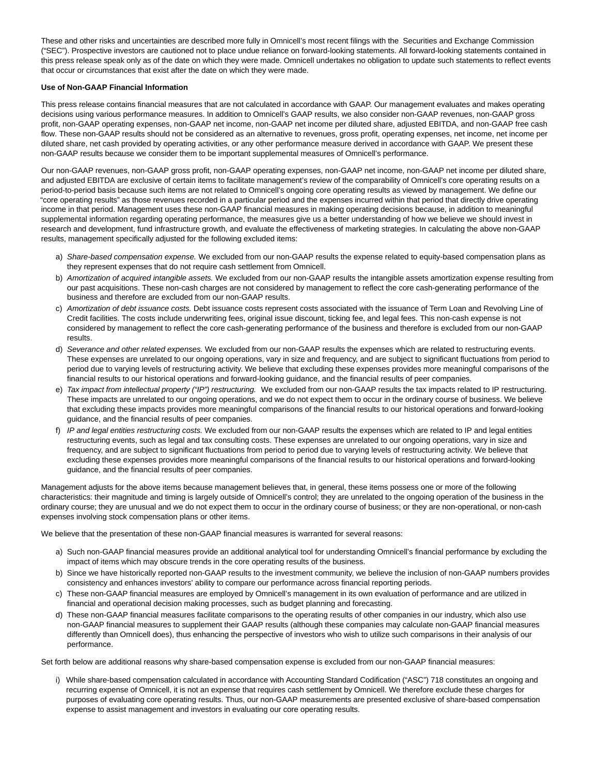These and other risks and uncertainties are described more fully in Omnicell's most recent filings with the Securities and Exchange Commission ("SEC"). Prospective investors are cautioned not to place undue reliance on forward-looking statements. All forward-looking statements contained in this press release speak only as of the date on which they were made. Omnicell undertakes no obligation to update such statements to reflect events that occur or circumstances that exist after the date on which they were made.

# **Use of Non-GAAP Financial Information**

This press release contains financial measures that are not calculated in accordance with GAAP. Our management evaluates and makes operating decisions using various performance measures. In addition to Omnicell's GAAP results, we also consider non-GAAP revenues, non-GAAP gross profit, non-GAAP operating expenses, non-GAAP net income, non-GAAP net income per diluted share, adjusted EBITDA, and non-GAAP free cash flow. These non-GAAP results should not be considered as an alternative to revenues, gross profit, operating expenses, net income, net income per diluted share, net cash provided by operating activities, or any other performance measure derived in accordance with GAAP. We present these non-GAAP results because we consider them to be important supplemental measures of Omnicell's performance.

Our non-GAAP revenues, non-GAAP gross profit, non-GAAP operating expenses, non-GAAP net income, non-GAAP net income per diluted share, and adjusted EBITDA are exclusive of certain items to facilitate management's review of the comparability of Omnicell's core operating results on a period-to-period basis because such items are not related to Omnicell's ongoing core operating results as viewed by management. We define our "core operating results" as those revenues recorded in a particular period and the expenses incurred within that period that directly drive operating income in that period. Management uses these non-GAAP financial measures in making operating decisions because, in addition to meaningful supplemental information regarding operating performance, the measures give us a better understanding of how we believe we should invest in research and development, fund infrastructure growth, and evaluate the effectiveness of marketing strategies. In calculating the above non-GAAP results, management specifically adjusted for the following excluded items:

- a) Share-based compensation expense. We excluded from our non-GAAP results the expense related to equity-based compensation plans as they represent expenses that do not require cash settlement from Omnicell.
- b) Amortization of acquired intangible assets. We excluded from our non-GAAP results the intangible assets amortization expense resulting from our past acquisitions. These non-cash charges are not considered by management to reflect the core cash-generating performance of the business and therefore are excluded from our non-GAAP results.
- c) Amortization of debt issuance costs. Debt issuance costs represent costs associated with the issuance of Term Loan and Revolving Line of Credit facilities. The costs include underwriting fees, original issue discount, ticking fee, and legal fees. This non-cash expense is not considered by management to reflect the core cash-generating performance of the business and therefore is excluded from our non-GAAP results.
- d) Severance and other related expenses. We excluded from our non-GAAP results the expenses which are related to restructuring events. These expenses are unrelated to our ongoing operations, vary in size and frequency, and are subject to significant fluctuations from period to period due to varying levels of restructuring activity. We believe that excluding these expenses provides more meaningful comparisons of the financial results to our historical operations and forward-looking guidance, and the financial results of peer companies.
- e) Tax impact from intellectual property ("IP") restructuring. We excluded from our non-GAAP results the tax impacts related to IP restructuring. These impacts are unrelated to our ongoing operations, and we do not expect them to occur in the ordinary course of business. We believe that excluding these impacts provides more meaningful comparisons of the financial results to our historical operations and forward-looking guidance, and the financial results of peer companies.
- f) IP and legal entities restructuring costs. We excluded from our non-GAAP results the expenses which are related to IP and legal entities restructuring events, such as legal and tax consulting costs. These expenses are unrelated to our ongoing operations, vary in size and frequency, and are subject to significant fluctuations from period to period due to varying levels of restructuring activity. We believe that excluding these expenses provides more meaningful comparisons of the financial results to our historical operations and forward-looking guidance, and the financial results of peer companies.

Management adjusts for the above items because management believes that, in general, these items possess one or more of the following characteristics: their magnitude and timing is largely outside of Omnicell's control; they are unrelated to the ongoing operation of the business in the ordinary course; they are unusual and we do not expect them to occur in the ordinary course of business; or they are non-operational, or non-cash expenses involving stock compensation plans or other items.

We believe that the presentation of these non-GAAP financial measures is warranted for several reasons:

- a) Such non-GAAP financial measures provide an additional analytical tool for understanding Omnicell's financial performance by excluding the impact of items which may obscure trends in the core operating results of the business.
- b) Since we have historically reported non-GAAP results to the investment community, we believe the inclusion of non-GAAP numbers provides consistency and enhances investors' ability to compare our performance across financial reporting periods.
- c) These non-GAAP financial measures are employed by Omnicell's management in its own evaluation of performance and are utilized in financial and operational decision making processes, such as budget planning and forecasting.
- d) These non-GAAP financial measures facilitate comparisons to the operating results of other companies in our industry, which also use non-GAAP financial measures to supplement their GAAP results (although these companies may calculate non-GAAP financial measures differently than Omnicell does), thus enhancing the perspective of investors who wish to utilize such comparisons in their analysis of our performance.

Set forth below are additional reasons why share-based compensation expense is excluded from our non-GAAP financial measures:

i) While share-based compensation calculated in accordance with Accounting Standard Codification ("ASC") 718 constitutes an ongoing and recurring expense of Omnicell, it is not an expense that requires cash settlement by Omnicell. We therefore exclude these charges for purposes of evaluating core operating results. Thus, our non-GAAP measurements are presented exclusive of share-based compensation expense to assist management and investors in evaluating our core operating results.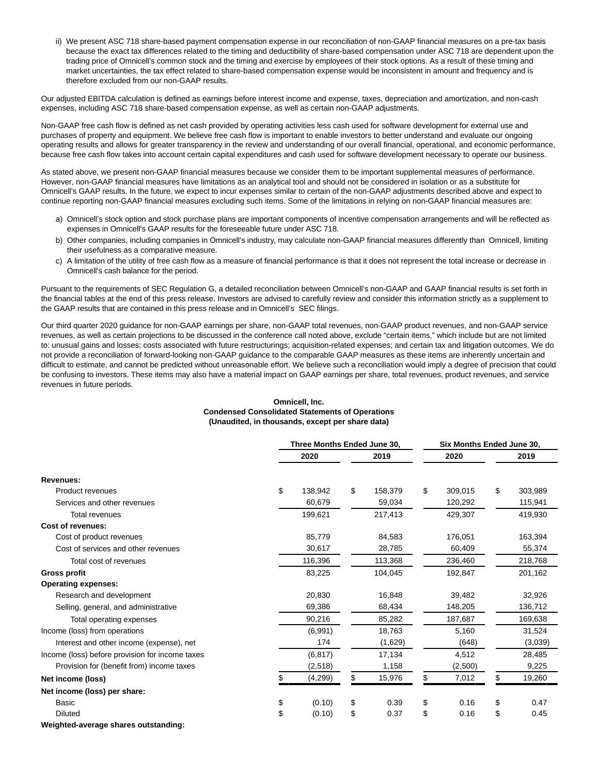ii) We present ASC 718 share-based payment compensation expense in our reconciliation of non-GAAP financial measures on a pre-tax basis because the exact tax differences related to the timing and deductibility of share-based compensation under ASC 718 are dependent upon the trading price of Omnicell's common stock and the timing and exercise by employees of their stock options. As a result of these timing and market uncertainties, the tax effect related to share-based compensation expense would be inconsistent in amount and frequency and is therefore excluded from our non-GAAP results.

Our adjusted EBITDA calculation is defined as earnings before interest income and expense, taxes, depreciation and amortization, and non-cash expenses, including ASC 718 share-based compensation expense, as well as certain non-GAAP adjustments.

Non-GAAP free cash flow is defined as net cash provided by operating activities less cash used for software development for external use and purchases of property and equipment. We believe free cash flow is important to enable investors to better understand and evaluate our ongoing operating results and allows for greater transparency in the review and understanding of our overall financial, operational, and economic performance, because free cash flow takes into account certain capital expenditures and cash used for software development necessary to operate our business.

As stated above, we present non-GAAP financial measures because we consider them to be important supplemental measures of performance. However, non-GAAP financial measures have limitations as an analytical tool and should not be considered in isolation or as a substitute for Omnicell's GAAP results. In the future, we expect to incur expenses similar to certain of the non-GAAP adjustments described above and expect to continue reporting non-GAAP financial measures excluding such items. Some of the limitations in relying on non-GAAP financial measures are:

- a) Omnicell's stock option and stock purchase plans are important components of incentive compensation arrangements and will be reflected as expenses in Omnicell's GAAP results for the foreseeable future under ASC 718.
- b) Other companies, including companies in Omnicell's industry, may calculate non-GAAP financial measures differently than Omnicell, limiting their usefulness as a comparative measure.
- c) A limitation of the utility of free cash flow as a measure of financial performance is that it does not represent the total increase or decrease in Omnicell's cash balance for the period.

Pursuant to the requirements of SEC Regulation G, a detailed reconciliation between Omnicell's non-GAAP and GAAP financial results is set forth in the financial tables at the end of this press release. Investors are advised to carefully review and consider this information strictly as a supplement to the GAAP results that are contained in this press release and in Omnicell's SEC filings.

Our third quarter 2020 guidance for non-GAAP earnings per share, non-GAAP total revenues, non-GAAP product revenues, and non-GAAP service revenues, as well as certain projections to be discussed in the conference call noted above, exclude "certain items," which include but are not limited to: unusual gains and losses; costs associated with future restructurings; acquisition-related expenses; and certain tax and litigation outcomes. We do not provide a reconciliation of forward-looking non-GAAP guidance to the comparable GAAP measures as these items are inherently uncertain and difficult to estimate, and cannot be predicted without unreasonable effort. We believe such a reconciliation would imply a degree of precision that could be confusing to investors. These items may also have a material impact on GAAP earnings per share, total revenues, product revenues, and service revenues in future periods.

|                                                 |    | Three Months Ended June 30, |    |         |         | Six Months Ended June 30, |    |         |  |  |  |         |  |       |  |         |
|-------------------------------------------------|----|-----------------------------|----|---------|---------|---------------------------|----|---------|--|--|--|---------|--|-------|--|---------|
|                                                 |    | 2020                        |    | 2019    |         | 2020                      |    | 2019    |  |  |  |         |  |       |  |         |
| <b>Revenues:</b>                                |    |                             |    |         |         |                           |    |         |  |  |  |         |  |       |  |         |
| Product revenues                                | \$ | 138,942                     | \$ | 158,379 | \$      | 309,015                   | \$ | 303,989 |  |  |  |         |  |       |  |         |
| Services and other revenues                     |    | 60,679                      |    | 59,034  |         | 120,292                   |    | 115,941 |  |  |  |         |  |       |  |         |
| <b>Total revenues</b>                           |    | 199,621                     |    | 217,413 |         | 429,307                   |    | 419,930 |  |  |  |         |  |       |  |         |
| Cost of revenues:                               |    |                             |    |         |         |                           |    |         |  |  |  |         |  |       |  |         |
| Cost of product revenues                        |    | 85,779                      |    | 84,583  | 176,051 |                           |    | 163,394 |  |  |  |         |  |       |  |         |
| Cost of services and other revenues             |    | 30,617                      |    | 28.785  | 60,409  |                           |    | 55,374  |  |  |  |         |  |       |  |         |
| Total cost of revenues                          |    | 116,396                     |    | 113,368 |         | 236,460                   |    | 218,768 |  |  |  |         |  |       |  |         |
| <b>Gross profit</b>                             |    | 83,225                      |    | 104,045 |         | 192,847                   |    | 201,162 |  |  |  |         |  |       |  |         |
| <b>Operating expenses:</b>                      |    |                             |    |         |         |                           |    |         |  |  |  |         |  |       |  |         |
| Research and development                        |    | 20,830                      |    | 16,848  |         | 39,482                    |    | 32,926  |  |  |  |         |  |       |  |         |
| Selling, general, and administrative            |    | 69,386                      |    | 68,434  |         | 148,205                   |    | 136,712 |  |  |  |         |  |       |  |         |
| Total operating expenses                        |    | 90,216                      |    | 85,282  |         | 187,687                   |    | 169,638 |  |  |  |         |  |       |  |         |
| Income (loss) from operations                   |    | (6,991)                     |    | 18,763  |         | 5,160                     |    | 31,524  |  |  |  |         |  |       |  |         |
| Interest and other income (expense), net        |    | 174                         |    |         |         |                           |    |         |  |  |  | (1,629) |  | (648) |  | (3,039) |
| Income (loss) before provision for income taxes |    | (6, 817)                    |    | 17,134  |         | 4,512                     |    | 28,485  |  |  |  |         |  |       |  |         |
| Provision for (benefit from) income taxes       |    | (2,518)                     |    | 1,158   |         | (2,500)                   |    | 9,225   |  |  |  |         |  |       |  |         |
| Net income (loss)                               |    | (4,299)                     | \$ | 15,976  | \$      | 7,012                     | \$ | 19,260  |  |  |  |         |  |       |  |         |
| Net income (loss) per share:                    |    |                             |    |         |         |                           |    |         |  |  |  |         |  |       |  |         |
| Basic                                           | \$ | (0.10)                      | \$ | 0.39    | \$      | 0.16                      | \$ | 0.47    |  |  |  |         |  |       |  |         |
| <b>Diluted</b>                                  | \$ | (0.10)                      | \$ | 0.37    | \$      | 0.16                      | \$ | 0.45    |  |  |  |         |  |       |  |         |
| Weighted-average shares outstanding:            |    |                             |    |         |         |                           |    |         |  |  |  |         |  |       |  |         |

# **Omnicell, Inc. Condensed Consolidated Statements of Operations (Unaudited, in thousands, except per share data)**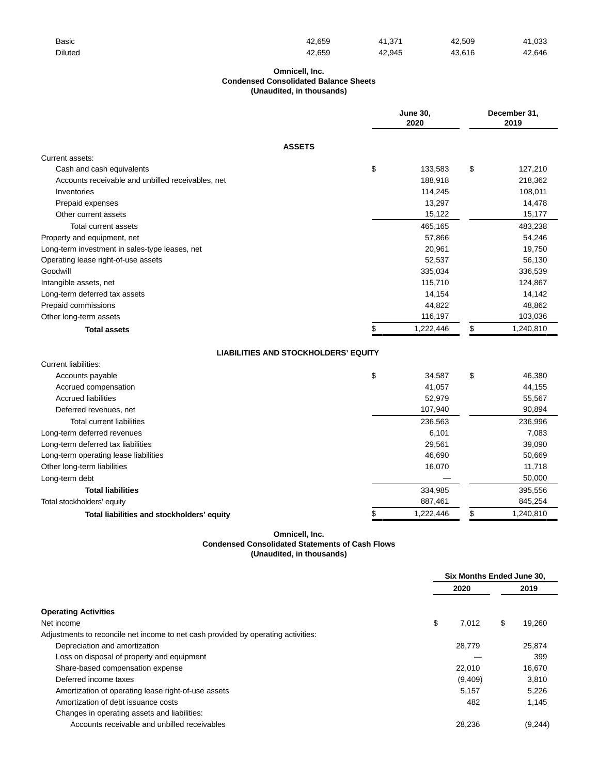| <b>Basic</b><br>. | 12,659 | 1,371  | 42,509 | 1,033  |
|-------------------|--------|--------|--------|--------|
| <b>Diluted</b>    | 42,659 | 42.945 | 43.616 | 42.646 |

# **Omnicell, Inc. Condensed Consolidated Balance Sheets (Unaudited, in thousands)**

|                                                   | <b>June 30,</b><br>2020 | December 31,<br>2019 |           |  |
|---------------------------------------------------|-------------------------|----------------------|-----------|--|
| <b>ASSETS</b>                                     |                         |                      |           |  |
| Current assets:                                   |                         |                      |           |  |
| Cash and cash equivalents                         | \$<br>133,583           | \$                   | 127,210   |  |
| Accounts receivable and unbilled receivables, net | 188,918                 |                      | 218,362   |  |
| Inventories                                       | 114,245                 |                      | 108,011   |  |
| Prepaid expenses                                  | 13,297                  |                      | 14,478    |  |
| Other current assets                              | 15,122                  |                      | 15,177    |  |
| Total current assets                              | 465,165                 |                      | 483,238   |  |
| Property and equipment, net                       | 57,866                  |                      | 54,246    |  |
| Long-term investment in sales-type leases, net    | 20,961                  |                      | 19,750    |  |
| Operating lease right-of-use assets               | 52,537                  |                      | 56,130    |  |
| Goodwill                                          | 335,034                 |                      | 336,539   |  |
| Intangible assets, net                            | 115,710                 |                      | 124,867   |  |
| Long-term deferred tax assets                     | 14,154                  |                      | 14,142    |  |
| Prepaid commissions                               | 44,822                  |                      | 48,862    |  |
| Other long-term assets                            | 116,197                 |                      | 103,036   |  |
| <b>Total assets</b>                               | \$<br>1,222,446         | \$                   | 1,240,810 |  |
| <b>LIABILITIES AND STOCKHOLDERS' EQUITY</b>       |                         |                      |           |  |
| <b>Current liabilities:</b>                       |                         |                      |           |  |
| Accounts payable                                  | \$<br>34,587            | \$                   | 46,380    |  |
| Accrued compensation                              | 41,057                  |                      | 44,155    |  |
| <b>Accrued liabilities</b>                        | 52,979                  |                      | 55,567    |  |
| Deferred revenues, net                            | 107,940                 |                      | 90,894    |  |
| <b>Total current liabilities</b>                  | 236,563                 |                      | 236,996   |  |
| Long-term deferred revenues                       | 6,101                   |                      | 7,083     |  |
| Long-term deferred tax liabilities                | 29,561                  |                      | 39,090    |  |
| Long-term operating lease liabilities             | 46,690                  |                      | 50,669    |  |
| Other long-term liabilities                       | 16,070                  |                      | 11,718    |  |
| Long-term debt                                    |                         |                      | 50,000    |  |
| <b>Total liabilities</b>                          | 334,985                 |                      | 395,556   |  |
| Total stockholders' equity                        | 887,461                 |                      | 845,254   |  |
| Total liabilities and stockholders' equity        | \$<br>1,222,446         | \$                   | 1,240,810 |  |

# **Omnicell, Inc. Condensed Consolidated Statements of Cash Flows (Unaudited, in thousands)**

|                                                                                   | Six Months Ended June 30, |    |          |  |
|-----------------------------------------------------------------------------------|---------------------------|----|----------|--|
|                                                                                   | 2020                      |    | 2019     |  |
| <b>Operating Activities</b>                                                       |                           |    |          |  |
| Net income                                                                        | \$<br>7.012               | \$ | 19,260   |  |
| Adjustments to reconcile net income to net cash provided by operating activities: |                           |    |          |  |
| Depreciation and amortization                                                     | 28.779                    |    | 25.874   |  |
| Loss on disposal of property and equipment                                        |                           |    | 399      |  |
| Share-based compensation expense                                                  | 22.010                    |    | 16,670   |  |
| Deferred income taxes                                                             | (9,409)                   |    | 3,810    |  |
| Amortization of operating lease right-of-use assets                               | 5.157                     |    | 5.226    |  |
| Amortization of debt issuance costs                                               | 482                       |    | 1,145    |  |
| Changes in operating assets and liabilities:                                      |                           |    |          |  |
| Accounts receivable and unbilled receivables                                      | 28.236                    |    | (9, 244) |  |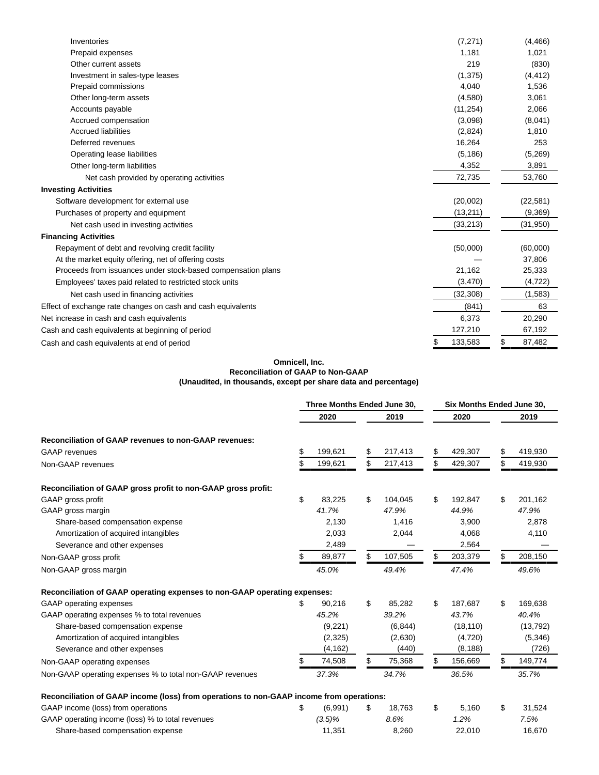| Inventories                                                  | (7,271)       | (4, 466)     |
|--------------------------------------------------------------|---------------|--------------|
| Prepaid expenses                                             | 1,181         | 1,021        |
| Other current assets                                         | 219           | (830)        |
| Investment in sales-type leases                              | (1, 375)      | (4, 412)     |
| Prepaid commissions                                          | 4.040         | 1,536        |
| Other long-term assets                                       | (4,580)       | 3,061        |
| Accounts payable                                             | (11, 254)     | 2,066        |
| Accrued compensation                                         | (3,098)       | (8,041)      |
| <b>Accrued liabilities</b>                                   | (2,824)       | 1,810        |
| Deferred revenues                                            | 16,264        | 253          |
| Operating lease liabilities                                  | (5, 186)      | (5,269)      |
| Other long-term liabilities                                  | 4,352         | 3,891        |
| Net cash provided by operating activities                    | 72,735        | 53,760       |
| <b>Investing Activities</b>                                  |               |              |
| Software development for external use                        | (20,002)      | (22, 581)    |
| Purchases of property and equipment                          | (13,211)      | (9,369)      |
| Net cash used in investing activities                        | (33,213)      | (31, 950)    |
| <b>Financing Activities</b>                                  |               |              |
| Repayment of debt and revolving credit facility              | (50,000)      | (60,000)     |
| At the market equity offering, net of offering costs         |               | 37,806       |
| Proceeds from issuances under stock-based compensation plans | 21,162        | 25,333       |
| Employees' taxes paid related to restricted stock units      | (3,470)       | (4, 722)     |
| Net cash used in financing activities                        | (32, 308)     | (1,583)      |
| Effect of exchange rate changes on cash and cash equivalents | (841)         | 63           |
| Net increase in cash and cash equivalents                    | 6,373         | 20,290       |
| Cash and cash equivalents at beginning of period             | 127,210       | 67,192       |
| Cash and cash equivalents at end of period                   | \$<br>133,583 | \$<br>87,482 |
|                                                              |               |              |

# **Omnicell, Inc. Reconciliation of GAAP to Non-GAAP (Unaudited, in thousands, except per share data and percentage)**

|                                                                                          | Three Months Ended June 30. |           |    |          | Six Months Ended June 30. |           |    |           |  |
|------------------------------------------------------------------------------------------|-----------------------------|-----------|----|----------|---------------------------|-----------|----|-----------|--|
|                                                                                          |                             | 2020      |    | 2019     |                           | 2020      |    | 2019      |  |
| Reconciliation of GAAP revenues to non-GAAP revenues:                                    |                             |           |    |          |                           |           |    |           |  |
| <b>GAAP</b> revenues                                                                     |                             | 199,621   | \$ | 217,413  | \$                        | 429,307   |    | 419,930   |  |
| Non-GAAP revenues                                                                        |                             | 199,621   | \$ | 217,413  | \$                        | 429,307   | \$ | 419,930   |  |
| Reconciliation of GAAP gross profit to non-GAAP gross profit:                            |                             |           |    |          |                           |           |    |           |  |
| GAAP gross profit                                                                        | \$                          | 83,225    | \$ | 104.045  | \$                        | 192.847   | \$ | 201.162   |  |
| GAAP gross margin                                                                        |                             | 41.7%     |    | 47.9%    |                           | 44.9%     |    | 47.9%     |  |
| Share-based compensation expense                                                         |                             | 2,130     |    | 1,416    |                           | 3,900     |    | 2,878     |  |
| Amortization of acquired intangibles                                                     |                             | 2,033     |    | 2,044    |                           | 4,068     |    | 4,110     |  |
| Severance and other expenses                                                             |                             | 2,489     |    |          |                           | 2,564     |    |           |  |
| Non-GAAP gross profit                                                                    |                             | 89,877    | \$ | 107,505  | \$                        | 203,379   | \$ | 208,150   |  |
| Non-GAAP gross margin                                                                    |                             | 45.0%     |    | 49.4%    |                           | 47.4%     |    | 49.6%     |  |
| Reconciliation of GAAP operating expenses to non-GAAP operating expenses:                |                             |           |    |          |                           |           |    |           |  |
| GAAP operating expenses                                                                  | \$                          | 90,216    | \$ | 85,282   | \$                        | 187.687   | \$ | 169.638   |  |
| GAAP operating expenses % to total revenues                                              |                             | 45.2%     |    | 39.2%    |                           | 43.7%     |    | 40.4%     |  |
| Share-based compensation expense                                                         |                             | (9,221)   |    | (6, 844) |                           | (18, 110) |    | (13, 792) |  |
| Amortization of acquired intangibles                                                     |                             | (2,325)   |    | (2,630)  |                           | (4,720)   |    | (5,346)   |  |
| Severance and other expenses                                                             |                             | (4, 162)  |    | (440)    |                           | (8, 188)  |    | (726)     |  |
| Non-GAAP operating expenses                                                              |                             | 74,508    | \$ | 75,368   | \$                        | 156,669   | \$ | 149,774   |  |
| Non-GAAP operating expenses % to total non-GAAP revenues                                 |                             | 37.3%     |    | 34.7%    |                           | 36.5%     |    | 35.7%     |  |
| Reconciliation of GAAP income (loss) from operations to non-GAAP income from operations: |                             |           |    |          |                           |           |    |           |  |
| GAAP income (loss) from operations                                                       | \$                          | (6,991)   | \$ | 18.763   | \$                        | 5,160     | \$ | 31,524    |  |
| GAAP operating income (loss) % to total revenues                                         |                             | $(3.5)\%$ |    | 8.6%     |                           | 1.2%      |    | 7.5%      |  |
| Share-based compensation expense                                                         |                             | 11,351    |    | 8,260    |                           | 22,010    |    | 16,670    |  |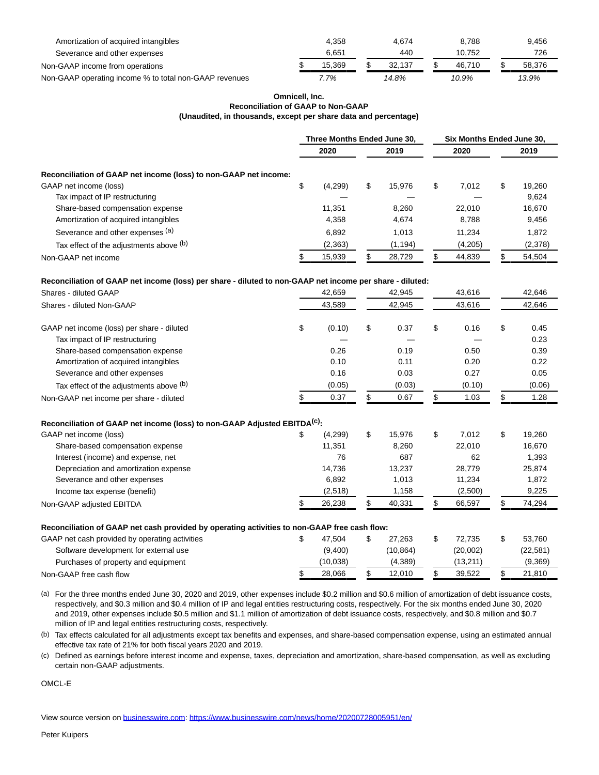| Amortization of acquired intangibles                   | 4.358  | 4.674  | 8.788  | 9.456  |
|--------------------------------------------------------|--------|--------|--------|--------|
| Severance and other expenses                           | 6.651  | 440    | 10.752 | 726    |
| Non-GAAP income from operations                        | 15.369 | 32.137 | 46.710 | 58.376 |
| Non-GAAP operating income % to total non-GAAP revenues | 7.7%   | 14.8%  | 10.9%  | 13.9%  |

## **Omnicell, Inc. Reconciliation of GAAP to Non-GAAP (Unaudited, in thousands, except per share data and percentage)**

|                                                                                                          | Three Months Ended June 30, |          |    | Six Months Ended June 30. |    |           |    |           |
|----------------------------------------------------------------------------------------------------------|-----------------------------|----------|----|---------------------------|----|-----------|----|-----------|
|                                                                                                          |                             | 2020     |    | 2019                      |    | 2020      |    | 2019      |
| Reconciliation of GAAP net income (loss) to non-GAAP net income:                                         |                             |          |    |                           |    |           |    |           |
| GAAP net income (loss)                                                                                   | \$                          | (4, 299) | \$ | 15,976                    | \$ | 7.012     | \$ | 19,260    |
| Tax impact of IP restructuring                                                                           |                             |          |    |                           |    |           |    | 9,624     |
| Share-based compensation expense                                                                         |                             | 11,351   |    | 8,260                     |    | 22,010    |    | 16,670    |
| Amortization of acquired intangibles                                                                     |                             | 4,358    |    | 4,674                     |    | 8,788     |    | 9,456     |
| Severance and other expenses (a)                                                                         |                             | 6,892    |    | 1,013                     |    | 11,234    |    | 1,872     |
| Tax effect of the adjustments above (b)                                                                  |                             | (2, 363) |    | (1, 194)                  |    | (4,205)   |    | (2,378)   |
| Non-GAAP net income                                                                                      |                             | 15,939   | \$ | 28,729                    | \$ | 44,839    | \$ | 54,504    |
|                                                                                                          |                             |          |    |                           |    |           |    |           |
| Reconciliation of GAAP net income (loss) per share - diluted to non-GAAP net income per share - diluted: |                             |          |    |                           |    |           |    |           |
| Shares - diluted GAAP                                                                                    |                             | 42,659   |    | 42,945                    |    | 43,616    |    | 42,646    |
| Shares - diluted Non-GAAP                                                                                |                             | 43,589   |    | 42,945                    |    | 43,616    |    | 42,646    |
|                                                                                                          |                             |          |    |                           |    |           |    |           |
| GAAP net income (loss) per share - diluted                                                               | \$                          | (0.10)   | \$ | 0.37                      | \$ | 0.16      | \$ | 0.45      |
| Tax impact of IP restructuring                                                                           |                             |          |    |                           |    |           |    | 0.23      |
| Share-based compensation expense                                                                         |                             | 0.26     |    | 0.19                      |    | 0.50      |    | 0.39      |
| Amortization of acquired intangibles                                                                     |                             | 0.10     |    | 0.11                      |    | 0.20      |    | 0.22      |
| Severance and other expenses                                                                             |                             | 0.16     |    | 0.03                      |    | 0.27      |    | 0.05      |
| Tax effect of the adjustments above (b)                                                                  |                             | (0.05)   |    | (0.03)                    |    | (0.10)    |    | (0.06)    |
| Non-GAAP net income per share - diluted                                                                  | \$                          | 0.37     | \$ | 0.67                      | \$ | 1.03      | \$ | 1.28      |
| Reconciliation of GAAP net income (loss) to non-GAAP Adjusted EBITDA <sup>(c)</sup> :                    |                             |          |    |                           |    |           |    |           |
| GAAP net income (loss)                                                                                   | \$                          | (4,299)  | \$ | 15,976                    | \$ | 7.012     | \$ | 19,260    |
| Share-based compensation expense                                                                         |                             | 11,351   |    | 8,260                     |    | 22,010    |    | 16,670    |
| Interest (income) and expense, net                                                                       |                             | 76       |    | 687                       |    | 62        |    | 1,393     |
| Depreciation and amortization expense                                                                    |                             | 14,736   |    | 13,237                    |    | 28,779    |    | 25,874    |
| Severance and other expenses                                                                             |                             | 6,892    |    | 1,013                     |    | 11,234    |    | 1,872     |
| Income tax expense (benefit)                                                                             |                             | (2,518)  |    | 1,158                     |    | (2,500)   |    | 9,225     |
| Non-GAAP adjusted EBITDA                                                                                 |                             | 26,238   | \$ | 40,331                    | \$ | 66,597    | \$ | 74,294    |
| Reconciliation of GAAP net cash provided by operating activities to non-GAAP free cash flow:             |                             |          |    |                           |    |           |    |           |
| GAAP net cash provided by operating activities                                                           | \$                          | 47,504   | \$ | 27,263                    | \$ | 72,735    | \$ | 53,760    |
| Software development for external use                                                                    |                             | (9,400)  |    | (10, 864)                 |    | (20,002)  |    | (22, 581) |
| Purchases of property and equipment                                                                      |                             | (10,038) |    | (4, 389)                  |    | (13, 211) |    | (9,369)   |
| Non-GAAP free cash flow                                                                                  | \$                          | 28,066   | \$ | 12,010                    | \$ | 39,522    | \$ | 21,810    |

(a) For the three months ended June 30, 2020 and 2019, other expenses include \$0.2 million and \$0.6 million of amortization of debt issuance costs, respectively, and \$0.3 million and \$0.4 million of IP and legal entities restructuring costs, respectively. For the six months ended June 30, 2020 and 2019, other expenses include \$0.5 million and \$1.1 million of amortization of debt issuance costs, respectively, and \$0.8 million and \$0.7 million of IP and legal entities restructuring costs, respectively.

(b) Tax effects calculated for all adjustments except tax benefits and expenses, and share-based compensation expense, using an estimated annual effective tax rate of 21% for both fiscal years 2020 and 2019.

(c) Defined as earnings before interest income and expense, taxes, depreciation and amortization, share-based compensation, as well as excluding certain non-GAAP adjustments.

OMCL-E

View source version on [businesswire.com:](http://businesswire.com/)<https://www.businesswire.com/news/home/20200728005951/en/>